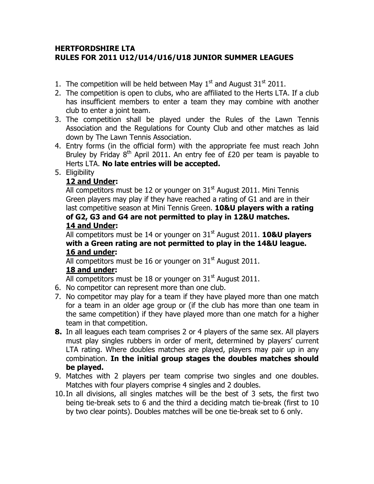## HERTFORDSHIRE LTA RULES FOR 2011 U12/U14/U16/U18 JUNIOR SUMMER LEAGUES

- 1. The competition will be held between May  $1<sup>st</sup>$  and August  $31<sup>st</sup>$  2011.
- 2. The competition is open to clubs, who are affiliated to the Herts LTA. If a club has insufficient members to enter a team they may combine with another club to enter a joint team.
- 3. The competition shall be played under the Rules of the Lawn Tennis Association and the Regulations for County Club and other matches as laid down by The Lawn Tennis Association.
- 4. Entry forms (in the official form) with the appropriate fee must reach John Bruley by Friday  $8<sup>th</sup>$  April 2011. An entry fee of £20 per team is payable to Herts LTA. No late entries will be accepted.
- 5. Eligibility

## 12 and Under:

All competitors must be 12 or younger on  $31<sup>st</sup>$  August 2011. Mini Tennis Green players may play if they have reached a rating of G1 and are in their last competitive season at Mini Tennis Green. 10&U players with a rating of G2, G3 and G4 are not permitted to play in 12&U matches. 14 and Under:

All competitors must be 14 or younger on  $31<sup>st</sup>$  August 2011. **10&U players** with a Green rating are not permitted to play in the 14&U league. 16 and under:

All competitors must be 16 or younger on  $31<sup>st</sup>$  August 2011.

## 18 and under:

All competitors must be 18 or younger on  $31<sup>st</sup>$  August 2011.

- 6. No competitor can represent more than one club.
- 7. No competitor may play for a team if they have played more than one match for a team in an older age group or (if the club has more than one team in the same competition) if they have played more than one match for a higher team in that competition.
- **8.** In all leagues each team comprises 2 or 4 players of the same sex. All players must play singles rubbers in order of merit, determined by players' current LTA rating. Where doubles matches are played, players may pair up in any combination. In the initial group stages the doubles matches should be played.
- 9. Matches with 2 players per team comprise two singles and one doubles. Matches with four players comprise 4 singles and 2 doubles.
- 10.In all divisions, all singles matches will be the best of 3 sets, the first two being tie-break sets to 6 and the third a deciding match tie-break (first to 10 by two clear points). Doubles matches will be one tie-break set to 6 only.